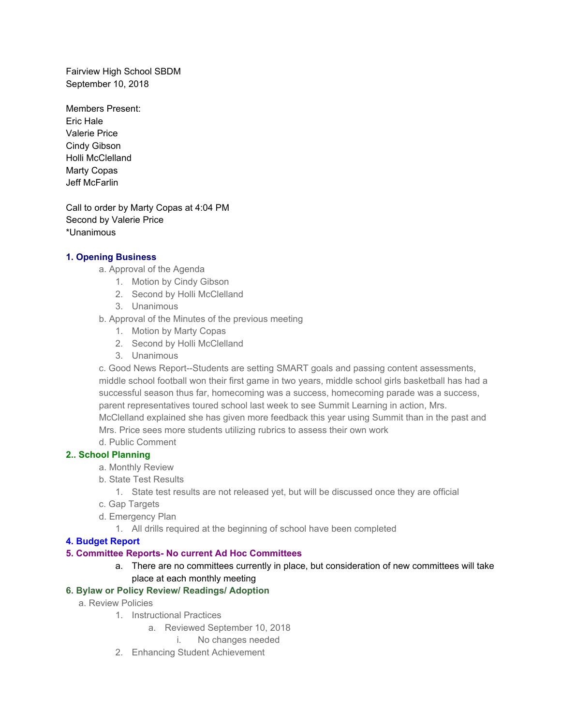Fairview High School SBDM September 10, 2018

Members Present: Eric Hale Valerie Price Cindy Gibson Holli McClelland Marty Copas Jeff McFarlin

Call to order by Marty Copas at 4:04 PM Second by Valerie Price \*Unanimous

## **1. Opening Business**

- a. Approval of the Agenda
	- 1. Motion by Cindy Gibson
	- 2. Second by Holli McClelland
	- 3. Unanimous
- b. Approval of the Minutes of the previous meeting
	- 1. Motion by Marty Copas
	- 2. Second by Holli McClelland
	- 3. Unanimous

c. Good News Report--Students are setting SMART goals and passing content assessments, middle school football won their first game in two years, middle school girls basketball has had a successful season thus far, homecoming was a success, homecoming parade was a success, parent representatives toured school last week to see Summit Learning in action, Mrs. McClelland explained she has given more feedback this year using Summit than in the past and Mrs. Price sees more students utilizing rubrics to assess their own work

d. Public Comment

## **2.. School Planning**

- a. Monthly Review
- b. State Test Results
	- 1. State test results are not released yet, but will be discussed once they are official
- c. Gap Targets
- d. Emergency Plan
	- 1. All drills required at the beginning of school have been completed

## **4. Budget Report**

# **5. Committee Reports- No current Ad Hoc Committees**

a. There are no committees currently in place, but consideration of new committees will take place at each monthly meeting

## **6. Bylaw or Policy Review/ Readings/ Adoption**

- a. Review Policies
	- 1. Instructional Practices
		- a. Reviewed September 10, 2018
			- i. No changes needed
	- 2. Enhancing Student Achievement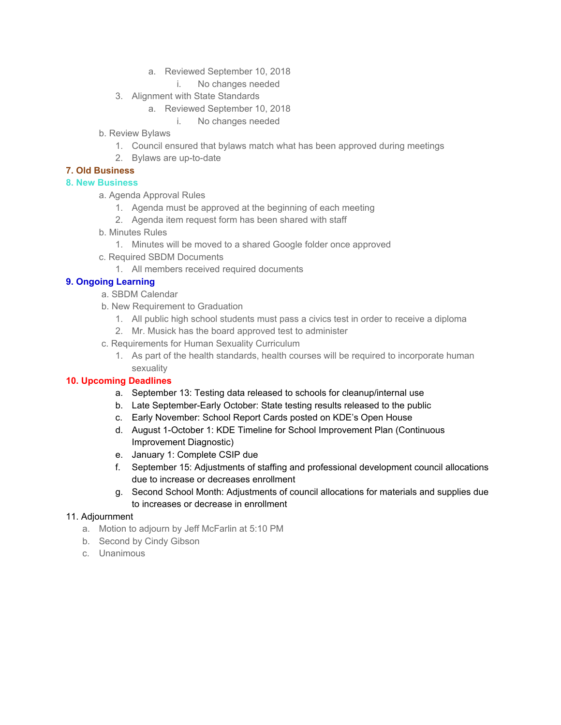- a. Reviewed September 10, 2018
	- i. No changes needed
- 3. Alignment with State Standards
	- a. Reviewed September 10, 2018
		- i. No changes needed
- b. Review Bylaws
	- 1. Council ensured that bylaws match what has been approved during meetings
	- 2. Bylaws are up-to-date

## **7. Old Business**

# **8. New Business**

a. Agenda Approval Rules

- 1. Agenda must be approved at the beginning of each meeting
- 2. Agenda item request form has been shared with staff
- b. Minutes Rules
	- 1. Minutes will be moved to a shared Google folder once approved
- c. Required SBDM Documents
	- 1. All members received required documents

# **9. Ongoing Learning**

- a. SBDM Calendar
- b. New Requirement to Graduation
	- 1. All public high school students must pass a civics test in order to receive a diploma
- 2. Mr. Musick has the board approved test to administer
- c. Requirements for Human Sexuality Curriculum
	- 1. As part of the health standards, health courses will be required to incorporate human sexuality

# **10. Upcoming Deadlines**

- a. September 13: Testing data released to schools for cleanup/internal use
- b. Late September-Early October: State testing results released to the public
- c. Early November: School Report Cards posted on KDE's Open House
- d. August 1-October 1: KDE Timeline for School Improvement Plan (Continuous Improvement Diagnostic)
- e. January 1: Complete CSIP due
- f. September 15: Adjustments of staffing and professional development council allocations due to increase or decreases enrollment
- g. Second School Month: Adjustments of council allocations for materials and supplies due to increases or decrease in enrollment

# 11. Adjournment

- a. Motion to adjourn by Jeff McFarlin at 5:10 PM
- b. Second by Cindy Gibson
- c. Unanimous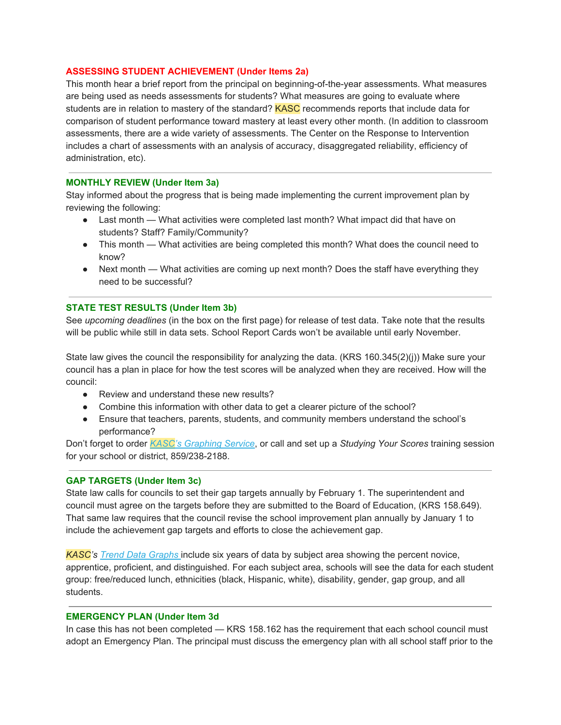### **ASSESSING STUDENT ACHIEVEMENT (Under Items 2a)**

This month hear a brief report from the principal on beginning-of-the-year assessments. What measures are being used as needs assessments for students? What measures are going to evaluate where students are in relation to mastery of the standard? KASC recommends reports that include data for comparison of student performance toward mastery at least every other month. (In addition to classroom assessments, there are a wide variety of assessments. The Center on the Response to Intervention includes a chart of assessments with an analysis of accuracy, disaggregated reliability, efficiency of administration, etc).

#### **MONTHLY REVIEW (Under Item 3a)**

Stay informed about the progress that is being made implementing the current improvement plan by reviewing the following:

- Last month What activities were completed last month? What impact did that have on students? Staff? Family/Community?
- This month What activities are being completed this month? What does the council need to know?
- Next month What activities are coming up next month? Does the staff have everything they need to be successful?

## **STATE TEST RESULTS (Under Item 3b)**

See *upcoming deadlines* (in the box on the first page) for release of test data. Take note that the results will be public while still in data sets. School Report Cards won't be available until early November.

State law gives the council the responsibility for analyzing the data. (KRS 160.345(2)(j)) Make sure your council has a plan in place for how the test scores will be analyzed when they are received. How will the council:

- Review and understand these new results?
- Combine this information with other data to get a clearer picture of the school?
- Ensure that teachers, parents, students, and community members understand the school's performance?

Don't forget to order *[KASC'](https://kasc.us1.list-manage.com/track/click?u=ac8f71031575e221281ae3fd2&id=4dbcd346b1&e=4eb12a7414)s [Graphing](https://kasc.us1.list-manage.com/track/click?u=ac8f71031575e221281ae3fd2&id=4dbcd346b1&e=4eb12a7414) Service*, or call and set up a *Studying Your Scores* training session for your school or district, 859/238-2188.

#### **GAP TARGETS (Under Item 3c)**

State law calls for councils to set their gap targets annually by February 1. The superintendent and council must agree on the targets before they are submitted to the Board of Education, (KRS 158.649). That same law requires that the council revise the school improvement plan annually by January 1 to include the achievement gap targets and efforts to close the achievement gap.

*KASC's [Tr](https://kasc.us1.list-manage.com/track/click?u=ac8f71031575e221281ae3fd2&id=a0a24e8c21&e=4eb12a7414)end Data [Graphs](https://kasc.us1.list-manage.com/track/click?u=ac8f71031575e221281ae3fd2&id=1b0930c024&e=4eb12a7414)* include six years of data by subject area showing the percent novice, apprentice, proficient, and distinguished. For each subject area, schools will see the data for each student group: free/reduced lunch, ethnicities (black, Hispanic, white), disability, gender, gap group, and all students.

#### **EMERGENCY PLAN (Under Item 3d**

In case this has not been completed — KRS 158.162 has the requirement that each school council must adopt an Emergency Plan. The principal must discuss the emergency plan with all school staff prior to the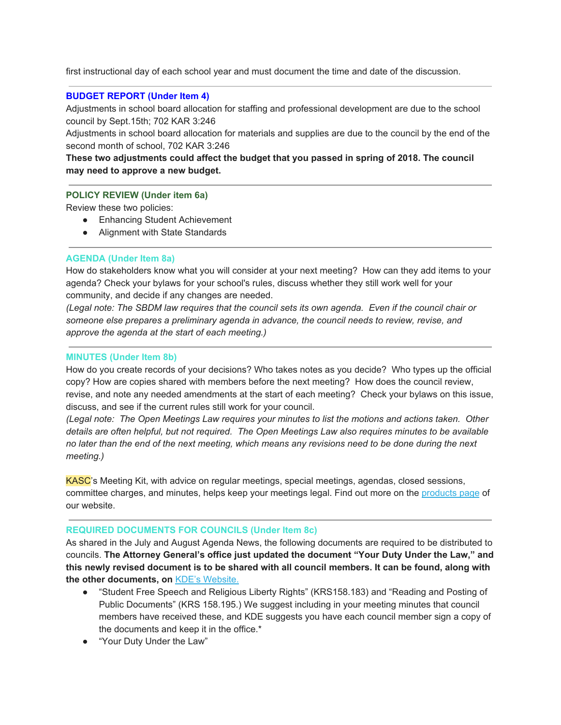first instructional day of each school year and must document the time and date of the discussion.

### **BUDGET REPORT (Under Item 4)**

Adjustments in school board allocation for staffing and professional development are due to the school council by Sept.15th; 702 KAR 3:246

Adjustments in school board allocation for materials and supplies are due to the council by the end of the second month of school, 702 KAR 3:246

**These two adjustments could affect the budget that you passed in spring of 2018. The council may need to approve a new budget.**

#### **POLICY REVIEW (Under item 6a)**

Review these two policies:

- Enhancing Student Achievement
- Alignment with State Standards

#### **AGENDA (Under Item 8a)**

How do stakeholders know what you will consider at your next meeting? How can they add items to your agenda? Check your bylaws for your school's rules, discuss whether they still work well for your community, and decide if any changes are needed.

(Legal note: The SBDM law requires that the council sets its own agenda. Even if the council chair or *someone else prepares a preliminary agenda in advance, the council needs to review, revise, and approve the agenda at the start of each meeting.)*

### **MINUTES (Under Item 8b)**

How do you create records of your decisions? Who takes notes as you decide? Who types up the official copy? How are copies shared with members before the next meeting? How does the council review, revise, and note any needed amendments at the start of each meeting? Check your bylaws on this issue, discuss, and see if the current rules still work for your council.

*(Legal note: The Open Meetings Law requires your minutes to list the motions and actions taken. Other details are often helpful, but not required. The Open Meetings Law also requires minutes to be available* no later than the end of the next meeting, which means any revisions need to be done during the next *meeting.)*

KASC's Meeting Kit, with advice on regular meetings, special meetings, agendas, closed sessions, committee charges, and minutes, helps keep your meetings legal. Find out more on the [products](https://kasc.us1.list-manage.com/track/click?u=ac8f71031575e221281ae3fd2&id=40bce76d4e&e=4eb12a7414) page of our website.

#### **REQUIRED DOCUMENTS FOR COUNCILS (Under Item 8c)**

As shared in the July and August Agenda News, the following documents are required to be distributed to councils. **The Attorney General's office just updated the document "Your Duty Under the Law," and this newly revised document is to be shared with all council members. It can be found, along with the other documents, on** KDE's [Website.](https://kasc.us1.list-manage.com/track/click?u=ac8f71031575e221281ae3fd2&id=551a990823&e=4eb12a7414)

- "Student Free Speech and Religious Liberty Rights" (KRS158.183) and "Reading and Posting of Public Documents" (KRS 158.195.) We suggest including in your meeting minutes that council members have received these, and KDE suggests you have each council member sign a copy of the documents and keep it in the office.\*
- "Your Duty Under the Law"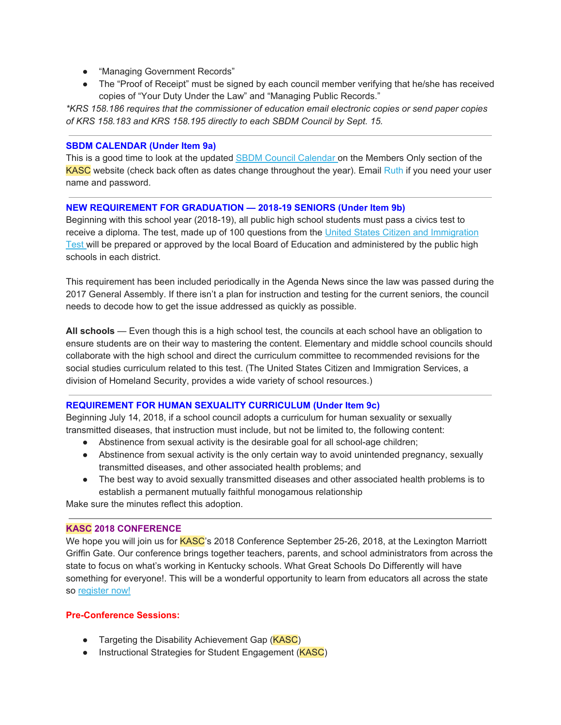- "Managing Government Records"
- The "Proof of Receipt" must be signed by each council member verifying that he/she has received copies of "Your Duty Under the Law" and "Managing Public Records."

*\*KRS 158.186 requires that the commissioner of education email electronic copies or send paper copies of KRS 158.183 and KRS 158.195 directly to each SBDM Council by Sept. 15.*

### **SBDM CALENDAR (Under Item 9a)**

This is a good time to look at the updated SBDM Council [Calendar](https://kasc.us1.list-manage.com/track/click?u=ac8f71031575e221281ae3fd2&id=d68e2266bc&e=4eb12a7414) on the Members Only section of the KASC website (check back often as dates change throughout the year). Email Ruth if you need your user name and password.

### **NEW REQUIREMENT FOR GRADUATION — 2018-19 SENIORS (Under Item 9b)**

Beginning with this school year (2018-19), all public high school students must pass a civics test to receive a diploma. The test, made up of 100 questions from the United States Citizen and [Immigration](https://kasc.us1.list-manage.com/track/click?u=ac8f71031575e221281ae3fd2&id=24dea018f2&e=4eb12a7414) [Test](https://kasc.us1.list-manage.com/track/click?u=ac8f71031575e221281ae3fd2&id=24dea018f2&e=4eb12a7414) will be prepared or approved by the local Board of Education and administered by the public high schools in each district.

This requirement has been included periodically in the Agenda News since the law was passed during the 2017 General Assembly. If there isn't a plan for instruction and testing for the current seniors, the council needs to decode how to get the issue addressed as quickly as possible.

**All schools** — Even though this is a high school test, the councils at each school have an obligation to ensure students are on their way to mastering the content. Elementary and middle school councils should collaborate with the high school and direct the curriculum committee to recommended revisions for the social studies curriculum related to this test. (The United States Citizen and Immigration Services, a division of Homeland Security, provides a wide variety of school resources.)

## **REQUIREMENT FOR HUMAN SEXUALITY CURRICULUM (Under Item 9c)**

Beginning July 14, 2018, if a school council adopts a curriculum for human sexuality or sexually transmitted diseases, that instruction must include, but not be limited to, the following content:

- Abstinence from sexual activity is the desirable goal for all school-age children;
- Abstinence from sexual activity is the only certain way to avoid unintended pregnancy, sexually transmitted diseases, and other associated health problems; and
- The best way to avoid sexually transmitted diseases and other associated health problems is to establish a permanent mutually faithful monogamous relationship

Make sure the minutes reflect this adoption.

## **KASC 2018 CONFERENCE**

We hope you will join us for **KASC**'s 2018 Conference September 25-26, 2018, at the Lexington Marriott Griffin Gate. Our conference brings together teachers, parents, and school administrators from across the state to focus on what's working in Kentucky schools. What Great Schools Do Differently will have something for everyone!. This will be a wonderful opportunity to learn from educators all across the state so [register](https://kasc.us1.list-manage.com/track/click?u=ac8f71031575e221281ae3fd2&id=1d04255995&e=4eb12a7414) now!

## **Pre-Conference Sessions:**

- Targeting the Disability Achievement Gap (KASC)
- Instructional Strategies for Student Engagement (KASC)